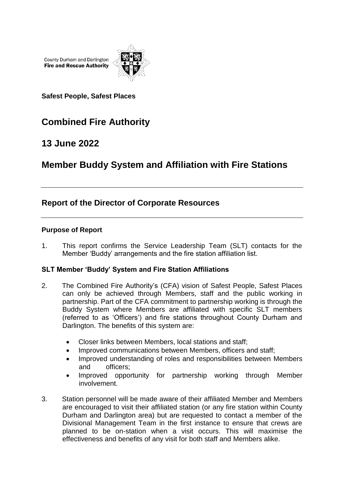County Durham and Darlington **Fire and Rescue Authority** 



**Safest People, Safest Places**

# **Combined Fire Authority**

## **13 June 2022**

## **Member Buddy System and Affiliation with Fire Stations**

## **Report of the Director of Corporate Resources**

### **Purpose of Report**

1. This report confirms the Service Leadership Team (SLT) contacts for the Member 'Buddy' arrangements and the fire station affiliation list.

### **SLT Member 'Buddy' System and Fire Station Affiliations**

- 2. The Combined Fire Authority's (CFA) vision of Safest People, Safest Places can only be achieved through Members, staff and the public working in partnership. Part of the CFA commitment to partnership working is through the Buddy System where Members are affiliated with specific SLT members (referred to as 'Officers') and fire stations throughout County Durham and Darlington. The benefits of this system are:
	- Closer links between Members, local stations and staff;
	- Improved communications between Members, officers and staff;
	- Improved understanding of roles and responsibilities between Members and officers;
	- Improved opportunity for partnership working through Member involvement.
- 3. Station personnel will be made aware of their affiliated Member and Members are encouraged to visit their affiliated station (or any fire station within County Durham and Darlington area) but are requested to contact a member of the Divisional Management Team in the first instance to ensure that crews are planned to be on-station when a visit occurs. This will maximise the effectiveness and benefits of any visit for both staff and Members alike.